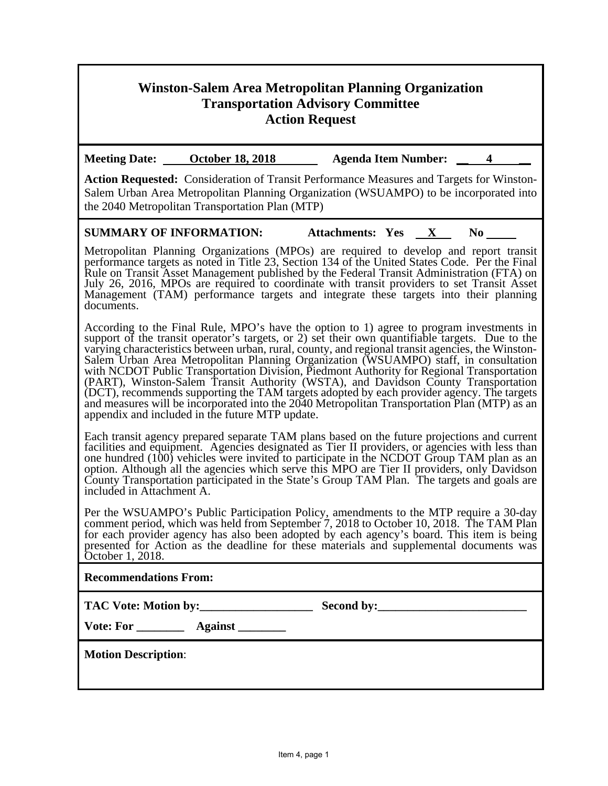# **Winston-Salem Area Metropolitan Planning Organization Transportation Advisory Committee Action Request**

**Meeting Date:** October 18, 2018 Agenda Item Number: 4

**Action Requested:** Consideration of Transit Performance Measures and Targets for Winston-Salem Urban Area Metropolitan Planning Organization (WSUAMPO) to be incorporated into the 2040 Metropolitan Transportation Plan (MTP)

### **SUMMARY OF INFORMATION:** Attachments: Yes **X** No **\_\_\_**

Metropolitan Planning Organizations (MPOs) are required to develop and report transit performance targets as noted in Title 23, Section 134 of the United States Code. Per the Final Rule on Transit Asset Management published by the Federal Transit Administration (FTA) on July 26, 2016, MPOs are required to coordinate with transit providers to set Transit Asset Management (TAM) performance targets and integrate these targets into their planning documents.

According to the Final Rule, MPO's have the option to 1) agree to program investments in support of the transit operator's targets, or 2) set their own quantifiable targets. Due to the varying characteristics between urban, rural, county, and regional transit agencies, the Winston-Salem Urban Area Metropolitan Planning Organization (WSUAMPO) staff, in consultation with NCDOT Public Transportation Division, Piedmont Authority for Regional Transportation (PART), Winston-Salem Transit Authority (WSTA), and Davidson County Transportation (DCT), recommends supporting the TAM targets adopted by each provider agency. The targets and measures will be incorporated into the 2040 Metropolitan Transportation Plan (MTP) as an appendix and included in the future MTP update.

Each transit agency prepared separate TAM plans based on the future projections and current facilities and equipment. Agencies designated as Tier II providers, or agencies with less than one hundred (100) vehicles were invited to participate in the NCDOT Group TAM plan as an option. Although all the agencies which serve this MPO are Tier II providers, only Davidson County Transportation participated in the State's Group TAM Plan. The targets and goals are included in Attachment A.

Per the WSUAMPO's Public Participation Policy, amendments to the MTP require a 30-day comment period, which was held from September 7, 2018 to October 10, 2018. The TAM Plan for each provider agency has also been adopted by each agency's board. This item is being presented for Action as the deadline for these materials and supplemental documents was October 1, 2018.

### **Recommendations From:**

**TAC Vote: Motion by:\_\_\_\_\_\_\_\_\_\_\_\_\_\_\_\_\_\_\_ Second by:\_\_\_\_\_\_\_\_\_\_\_\_\_\_\_\_\_\_\_\_\_\_\_\_\_** 

**Vote: For \_\_\_\_\_\_\_\_ Against \_\_\_\_\_\_\_\_** 

**Motion Description**: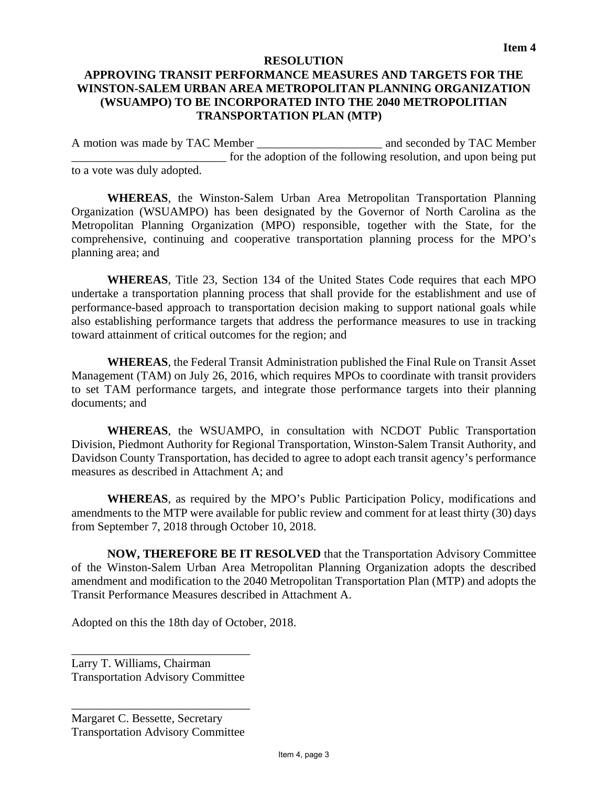#### **RESOLUTION**

## **APPROVING TRANSIT PERFORMANCE MEASURES AND TARGETS FOR THE WINSTON-SALEM URBAN AREA METROPOLITAN PLANNING ORGANIZATION (WSUAMPO) TO BE INCORPORATED INTO THE 2040 METROPOLITIAN TRANSPORTATION PLAN (MTP)**

A motion was made by TAC Member **the analysis of the seconded by TAC Member** for the adoption of the following resolution, and upon being put to a vote was duly adopted.

**WHEREAS**, the Winston-Salem Urban Area Metropolitan Transportation Planning Organization (WSUAMPO) has been designated by the Governor of North Carolina as the Metropolitan Planning Organization (MPO) responsible, together with the State, for the comprehensive, continuing and cooperative transportation planning process for the MPO's planning area; and

**WHEREAS**, Title 23, Section 134 of the United States Code requires that each MPO undertake a transportation planning process that shall provide for the establishment and use of performance-based approach to transportation decision making to support national goals while also establishing performance targets that address the performance measures to use in tracking toward attainment of critical outcomes for the region; and

**WHEREAS**, the Federal Transit Administration published the Final Rule on Transit Asset Management (TAM) on July 26, 2016, which requires MPOs to coordinate with transit providers to set TAM performance targets, and integrate those performance targets into their planning documents; and

**WHEREAS**, the WSUAMPO, in consultation with NCDOT Public Transportation Division, Piedmont Authority for Regional Transportation, Winston-Salem Transit Authority, and Davidson County Transportation, has decided to agree to adopt each transit agency's performance measures as described in Attachment A; and

**WHEREAS**, as required by the MPO's Public Participation Policy, modifications and amendments to the MTP were available for public review and comment for at least thirty (30) days from September 7, 2018 through October 10, 2018.

**NOW, THEREFORE BE IT RESOLVED** that the Transportation Advisory Committee of the Winston-Salem Urban Area Metropolitan Planning Organization adopts the described amendment and modification to the 2040 Metropolitan Transportation Plan (MTP) and adopts the Transit Performance Measures described in Attachment A.

Adopted on this the 18th day of October, 2018.

Larry T. Williams, Chairman Transportation Advisory Committee

\_\_\_\_\_\_\_\_\_\_\_\_\_\_\_\_\_\_\_\_\_\_\_\_\_\_\_\_\_\_

\_\_\_\_\_\_\_\_\_\_\_\_\_\_\_\_\_\_\_\_\_\_\_\_\_\_\_\_\_\_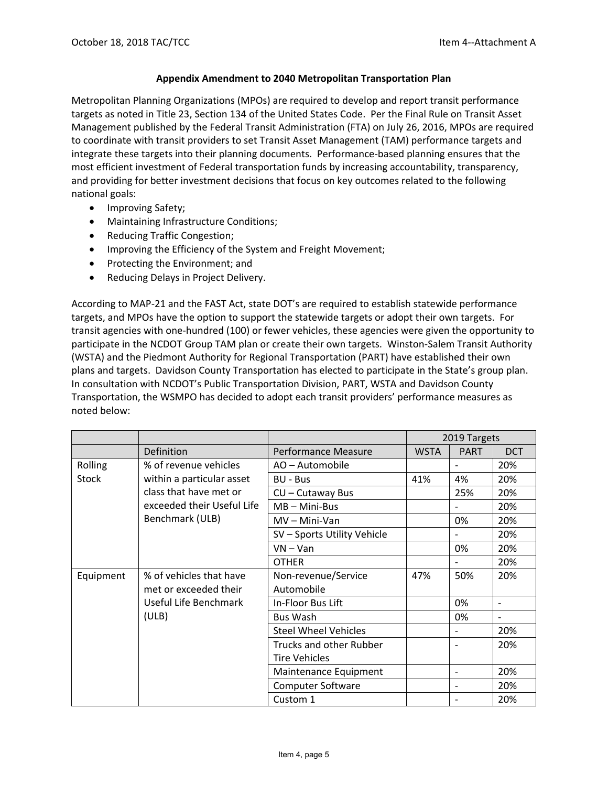#### **Appendix Amendment to 2040 Metropolitan Transportation Plan**

Metropolitan Planning Organizations (MPOs) are required to develop and report transit performance targets as noted in Title 23, Section 134 of the United States Code. Per the Final Rule on Transit Asset Management published by the Federal Transit Administration (FTA) on July 26, 2016, MPOs are required to coordinate with transit providers to set Transit Asset Management (TAM) performance targets and integrate these targets into their planning documents. Performance‐based planning ensures that the most efficient investment of Federal transportation funds by increasing accountability, transparency, and providing for better investment decisions that focus on key outcomes related to the following national goals:

- Improving Safety;
- Maintaining Infrastructure Conditions;
- Reducing Traffic Congestion;
- Improving the Efficiency of the System and Freight Movement;
- Protecting the Environment; and
- Reducing Delays in Project Delivery.

According to MAP‐21 and the FAST Act, state DOT's are required to establish statewide performance targets, and MPOs have the option to support the statewide targets or adopt their own targets. For transit agencies with one‐hundred (100) or fewer vehicles, these agencies were given the opportunity to participate in the NCDOT Group TAM plan or create their own targets. Winston-Salem Transit Authority (WSTA) and the Piedmont Authority for Regional Transportation (PART) have established their own plans and targets. Davidson County Transportation has elected to participate in the State's group plan. In consultation with NCDOT's Public Transportation Division, PART, WSTA and Davidson County Transportation, the WSMPO has decided to adopt each transit providers' performance measures as noted below:

|              |                                                                         |                             | 2019 Targets |                          |                          |
|--------------|-------------------------------------------------------------------------|-----------------------------|--------------|--------------------------|--------------------------|
|              | Definition                                                              | Performance Measure         | <b>WSTA</b>  | <b>PART</b>              | <b>DCT</b>               |
| Rolling      | % of revenue vehicles                                                   | AO - Automobile             |              |                          | 20%                      |
| <b>Stock</b> | within a particular asset                                               | <b>BU - Bus</b>             | 41%          | 4%                       | 20%                      |
|              | class that have met or<br>exceeded their Useful Life<br>Benchmark (ULB) | CU - Cutaway Bus            |              | 25%                      | 20%                      |
|              |                                                                         | $MB - Mini-Bus$             |              |                          | 20%                      |
|              |                                                                         | $MV - Mini-Van$             |              | 0%                       | 20%                      |
|              |                                                                         | SV - Sports Utility Vehicle |              |                          | 20%                      |
|              |                                                                         | $VN - Van$                  |              | 0%                       | 20%                      |
|              |                                                                         | <b>OTHER</b>                |              |                          | 20%                      |
| Equipment    | % of vehicles that have                                                 | Non-revenue/Service         | 47%          | 50%                      | 20%                      |
|              | met or exceeded their                                                   | Automobile                  |              |                          |                          |
|              | Useful Life Benchmark                                                   | In-Floor Bus Lift           |              | 0%                       | $\overline{\phantom{0}}$ |
|              | (ULB)                                                                   | <b>Bus Wash</b>             |              | 0%                       | $\overline{\phantom{0}}$ |
|              |                                                                         | <b>Steel Wheel Vehicles</b> |              | $\overline{\phantom{a}}$ | 20%                      |
|              |                                                                         | Trucks and other Rubber     |              |                          | 20%                      |
|              |                                                                         | <b>Tire Vehicles</b>        |              |                          |                          |
|              |                                                                         | Maintenance Equipment       |              | $\overline{\phantom{0}}$ | 20%                      |
|              |                                                                         | <b>Computer Software</b>    |              |                          | 20%                      |
|              |                                                                         | Custom 1                    |              |                          | 20%                      |